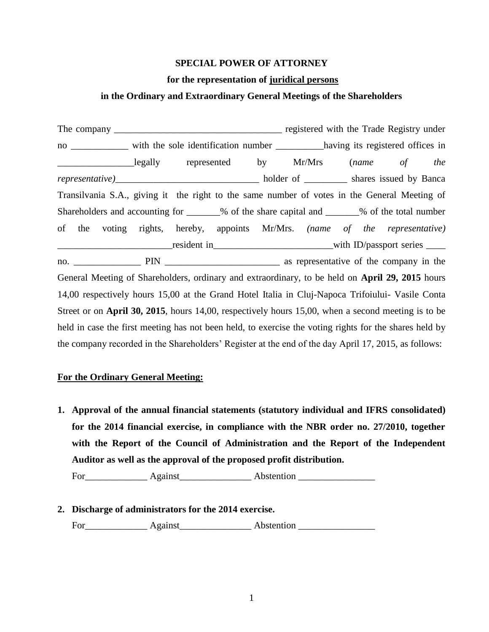## **SPECIAL POWER OF ATTORNEY**

## **for the representation of juridical persons**

# **in the Ordinary and Extraordinary General Meetings of the Shareholders**

The company \_\_\_\_\_\_\_\_\_\_\_\_\_\_\_\_\_\_\_\_\_\_\_\_\_\_\_\_\_\_\_\_\_\_\_ registered with the Trade Registry under no \_\_\_\_\_\_\_\_\_\_\_\_ with the sole identification number \_\_\_\_\_\_\_\_\_\_\_having its registered offices in \_\_\_\_\_\_\_\_\_\_\_\_\_\_\_\_legally represented by Mr/Mrs (*name of the representative)*\_\_\_\_\_\_\_\_\_\_\_\_\_\_\_\_\_\_\_\_\_\_\_\_\_\_\_\_\_\_ holder of \_\_\_\_\_\_\_\_\_ shares issued by Banca Transilvania S.A., giving it the right to the same number of votes in the General Meeting of Shareholders and accounting for \_\_\_\_\_\_% of the share capital and \_\_\_\_\_\_% of the total number of the voting rights, hereby, appoints Mr/Mrs. *(name of the representative)* position and the series of the series  $\frac{1}{2}$  and  $\frac{1}{2}$  are  $\frac{1}{2}$  with ID/passport series  $\frac{1}{2}$ no. \_\_\_\_\_\_\_\_\_\_\_\_\_\_ PIN \_\_\_\_\_\_\_\_\_\_\_\_\_\_\_\_\_\_\_\_\_\_\_\_ as representative of the company in the General Meeting of Shareholders, ordinary and extraordinary, to be held on **April 29, 2015** hours 14,00 respectively hours 15,00 at the Grand Hotel Italia in Cluj-Napoca Trifoiului- Vasile Conta Street or on **April 30, 2015**, hours 14,00, respectively hours 15,00, when a second meeting is to be held in case the first meeting has not been held, to exercise the voting rights for the shares held by the company recorded in the Shareholders' Register at the end of the day April 17, 2015, as follows:

# **For the Ordinary General Meeting:**

**1. Approval of the annual financial statements (statutory individual and IFRS consolidated) for the 2014 financial exercise, in compliance with the NBR order no. 27/2010, together with the Report of the Council of Administration and the Report of the Independent Auditor as well as the approval of the proposed profit distribution.**

For\_\_\_\_\_\_\_\_\_\_\_\_\_ Against\_\_\_\_\_\_\_\_\_\_\_\_\_\_\_ Abstention \_\_\_\_\_\_\_\_\_\_\_\_\_\_\_\_

**2. Discharge of administrators for the 2014 exercise.** 

For Against Abstention **Abstention**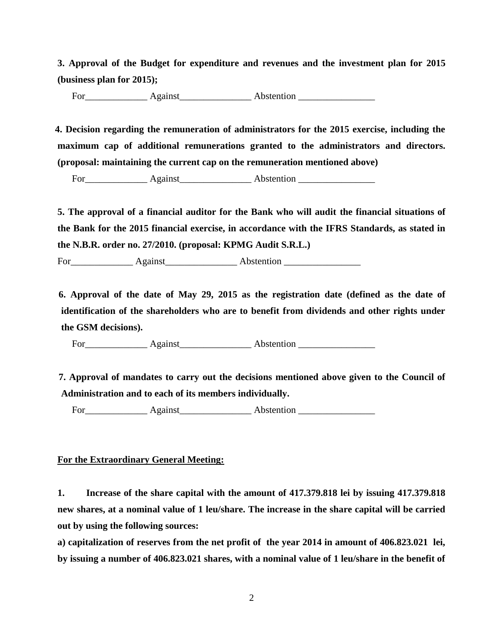**3. Approval of the Budget for expenditure and revenues and the investment plan for 2015 (business plan for 2015);**

For\_\_\_\_\_\_\_\_\_\_\_\_\_ Against\_\_\_\_\_\_\_\_\_\_\_\_\_\_\_ Abstention \_\_\_\_\_\_\_\_\_\_\_\_\_\_\_\_

 **4. Decision regarding the remuneration of administrators for the 2015 exercise, including the maximum cap of additional remunerations granted to the administrators and directors. (proposal: maintaining the current cap on the remuneration mentioned above)**

For\_\_\_\_\_\_\_\_\_\_\_\_\_ Against\_\_\_\_\_\_\_\_\_\_\_\_\_\_\_ Abstention \_\_\_\_\_\_\_\_\_\_\_\_\_\_\_\_

**5. The approval of a financial auditor for the Bank who will audit the financial situations of the Bank for the 2015 financial exercise, in accordance with the IFRS Standards, as stated in the N.B.R. order no. 27/2010. (proposal: KPMG Audit S.R.L.)**

For\_\_\_\_\_\_\_\_\_\_\_\_\_ Against\_\_\_\_\_\_\_\_\_\_\_\_\_\_\_ Abstention \_\_\_\_\_\_\_\_\_\_\_\_\_\_\_\_

 **6. Approval of the date of May 29, 2015 as the registration date (defined as the date of identification of the shareholders who are to benefit from dividends and other rights under the GSM decisions).**

For\_\_\_\_\_\_\_\_\_\_\_\_\_ Against\_\_\_\_\_\_\_\_\_\_\_\_\_\_\_ Abstention \_\_\_\_\_\_\_\_\_\_\_\_\_\_\_\_

 **7. Approval of mandates to carry out the decisions mentioned above given to the Council of Administration and to each of its members individually.**

For Against Abstention

# **For the Extraordinary General Meeting:**

**1. Increase of the share capital with the amount of 417.379.818 lei by issuing 417.379.818 new shares, at a nominal value of 1 leu/share. The increase in the share capital will be carried out by using the following sources:**

**a) capitalization of reserves from the net profit of the year 2014 in amount of 406.823.021 lei, by issuing a number of 406.823.021 shares, with a nominal value of 1 leu/share in the benefit of**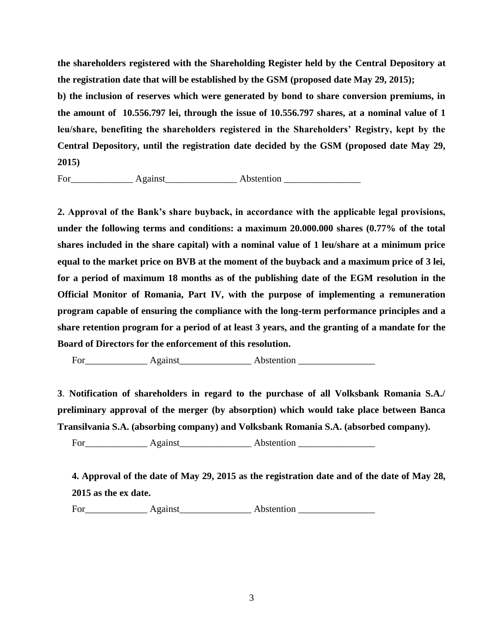**the shareholders registered with the Shareholding Register held by the Central Depository at the registration date that will be established by the GSM (proposed date May 29, 2015); b) the inclusion of reserves which were generated by bond to share conversion premiums, in the amount of 10.556.797 lei, through the issue of 10.556.797 shares, at a nominal value of 1 leu/share, benefiting the shareholders registered in the Shareholders' Registry, kept by the Central Depository, until the registration date decided by the GSM (proposed date May 29, 2015)**

For\_\_\_\_\_\_\_\_\_\_\_\_\_ Against\_\_\_\_\_\_\_\_\_\_\_\_\_\_\_ Abstention \_\_\_\_\_\_\_\_\_\_\_\_\_\_\_\_

**2. Approval of the Bank's share buyback, in accordance with the applicable legal provisions, under the following terms and conditions: a maximum 20.000.000 shares (0.77% of the total shares included in the share capital) with a nominal value of 1 leu/share at a minimum price equal to the market price on BVB at the moment of the buyback and a maximum price of 3 lei, for a period of maximum 18 months as of the publishing date of the EGM resolution in the Official Monitor of Romania, Part IV, with the purpose of implementing a remuneration program capable of ensuring the compliance with the long-term performance principles and a share retention program for a period of at least 3 years, and the granting of a mandate for the Board of Directors for the enforcement of this resolution.**

For Against Abstention

**3**. **Notification of shareholders in regard to the purchase of all Volksbank Romania S.A./ preliminary approval of the merger (by absorption) which would take place between Banca Transilvania S.A. (absorbing company) and Volksbank Romania S.A. (absorbed company).**

For Against Abstention **Abstention** 

**4. Approval of the date of May 29, 2015 as the registration date and of the date of May 28, 2015 as the ex date.**

For\_\_\_\_\_\_\_\_\_\_\_\_\_ Against\_\_\_\_\_\_\_\_\_\_\_\_\_\_\_ Abstention \_\_\_\_\_\_\_\_\_\_\_\_\_\_\_\_